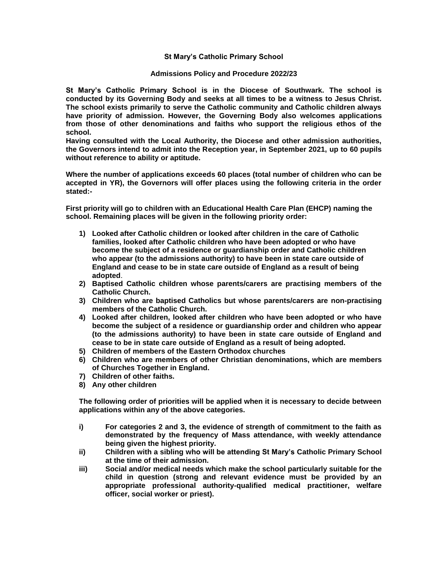# **St Mary's Catholic Primary School**

#### **Admissions Policy and Procedure 2022/23**

**St Mary's Catholic Primary School is in the Diocese of Southwark. The school is conducted by its Governing Body and seeks at all times to be a witness to Jesus Christ. The school exists primarily to serve the Catholic community and Catholic children always have priority of admission. However, the Governing Body also welcomes applications from those of other denominations and faiths who support the religious ethos of the school.**

**Having consulted with the Local Authority, the Diocese and other admission authorities, the Governors intend to admit into the Reception year, in September 2021, up to 60 pupils without reference to ability or aptitude.**

**Where the number of applications exceeds 60 places (total number of children who can be accepted in YR), the Governors will offer places using the following criteria in the order stated:-**

**First priority will go to children with an Educational Health Care Plan (EHCP) naming the school. Remaining places will be given in the following priority order:**

- **1) Looked after Catholic children or looked after children in the care of Catholic families, looked after Catholic children who have been adopted or who have become the subject of a residence or guardianship order and Catholic children who appear (to the admissions authority) to have been in state care outside of England and cease to be in state care outside of England as a result of being adopted**.
- **2) Baptised Catholic children whose parents/carers are practising members of the Catholic Church.**
- **3) Children who are baptised Catholics but whose parents/carers are non-practising members of the Catholic Church.**
- **4) Looked after children, looked after children who have been adopted or who have become the subject of a residence or guardianship order and children who appear (to the admissions authority) to have been in state care outside of England and cease to be in state care outside of England as a result of being adopted.**
- **5) Children of members of the Eastern Orthodox churches**
- **6) Children who are members of other Christian denominations, which are members of Churches Together in England.**
- **7) Children of other faiths.**
- **8) Any other children**

**The following order of priorities will be applied when it is necessary to decide between applications within any of the above categories.**

- **i) For categories 2 and 3, the evidence of strength of commitment to the faith as demonstrated by the frequency of Mass attendance, with weekly attendance being given the highest priority.**
- **ii) Children with a sibling who will be attending St Mary's Catholic Primary School at the time of their admission.**
- **iii) Social and/or medical needs which make the school particularly suitable for the child in question (strong and relevant evidence must be provided by an appropriate professional authority-qualified medical practitioner, welfare officer, social worker or priest).**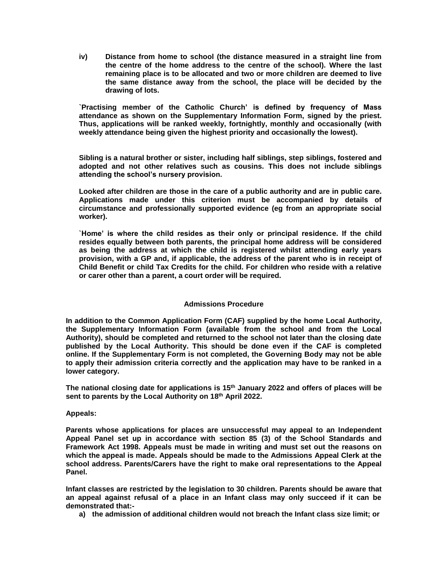**iv) Distance from home to school (the distance measured in a straight line from the centre of the home address to the centre of the school). Where the last remaining place is to be allocated and two or more children are deemed to live the same distance away from the school, the place will be decided by the drawing of lots.**

**`Practising member of the Catholic Church' is defined by frequency of Mass attendance as shown on the Supplementary Information Form, signed by the priest. Thus, applications will be ranked weekly, fortnightly, monthly and occasionally (with weekly attendance being given the highest priority and occasionally the lowest).**

**Sibling is a natural brother or sister, including half siblings, step siblings, fostered and adopted and not other relatives such as cousins. This does not include siblings attending the school's nursery provision.**

**Looked after children are those in the care of a public authority and are in public care. Applications made under this criterion must be accompanied by details of circumstance and professionally supported evidence (eg from an appropriate social worker).**

**`Home' is where the child resides as their only or principal residence. If the child resides equally between both parents, the principal home address will be considered as being the address at which the child is registered whilst attending early years provision, with a GP and, if applicable, the address of the parent who is in receipt of Child Benefit or child Tax Credits for the child. For children who reside with a relative or carer other than a parent, a court order will be required.**

# **Admissions Procedure**

**In addition to the Common Application Form (CAF) supplied by the home Local Authority, the Supplementary Information Form (available from the school and from the Local Authority), should be completed and returned to the school not later than the closing date published by the Local Authority. This should be done even if the CAF is completed online. If the Supplementary Form is not completed, the Governing Body may not be able to apply their admission criteria correctly and the application may have to be ranked in a lower category.**

**The national closing date for applications is 15th January 2022 and offers of places will be sent to parents by the Local Authority on 18 th April 2022.**

# **Appeals:**

**Parents whose applications for places are unsuccessful may appeal to an Independent Appeal Panel set up in accordance with section 85 (3) of the School Standards and Framework Act 1998. Appeals must be made in writing and must set out the reasons on which the appeal is made. Appeals should be made to the Admissions Appeal Clerk at the school address. Parents/Carers have the right to make oral representations to the Appeal Panel.**

**Infant classes are restricted by the legislation to 30 children. Parents should be aware that an appeal against refusal of a place in an Infant class may only succeed if it can be demonstrated that:-**

**a) the admission of additional children would not breach the Infant class size limit; or**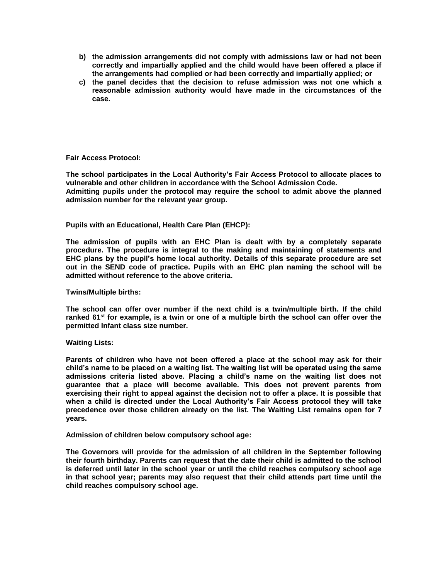- **b) the admission arrangements did not comply with admissions law or had not been correctly and impartially applied and the child would have been offered a place if the arrangements had complied or had been correctly and impartially applied; or**
- **c) the panel decides that the decision to refuse admission was not one which a reasonable admission authority would have made in the circumstances of the case.**

# **Fair Access Protocol:**

**The school participates in the Local Authority's Fair Access Protocol to allocate places to vulnerable and other children in accordance with the School Admission Code. Admitting pupils under the protocol may require the school to admit above the planned admission number for the relevant year group.**

#### **Pupils with an Educational, Health Care Plan (EHCP):**

**The admission of pupils with an EHC Plan is dealt with by a completely separate procedure. The procedure is integral to the making and maintaining of statements and EHC plans by the pupil's home local authority. Details of this separate procedure are set out in the SEND code of practice. Pupils with an EHC plan naming the school will be admitted without reference to the above criteria.**

**Twins/Multiple births:**

**The school can offer over number if the next child is a twin/multiple birth. If the child ranked 61st for example, is a twin or one of a multiple birth the school can offer over the permitted Infant class size number.**

#### **Waiting Lists:**

**Parents of children who have not been offered a place at the school may ask for their child's name to be placed on a waiting list. The waiting list will be operated using the same admissions criteria listed above. Placing a child's name on the waiting list does not guarantee that a place will become available. This does not prevent parents from exercising their right to appeal against the decision not to offer a place. It is possible that when a child is directed under the Local Authority's Fair Access protocol they will take precedence over those children already on the list. The Waiting List remains open for 7 years.**

**Admission of children below compulsory school age:**

**The Governors will provide for the admission of all children in the September following their fourth birthday. Parents can request that the date their child is admitted to the school is deferred until later in the school year or until the child reaches compulsory school age in that school year; parents may also request that their child attends part time until the child reaches compulsory school age.**